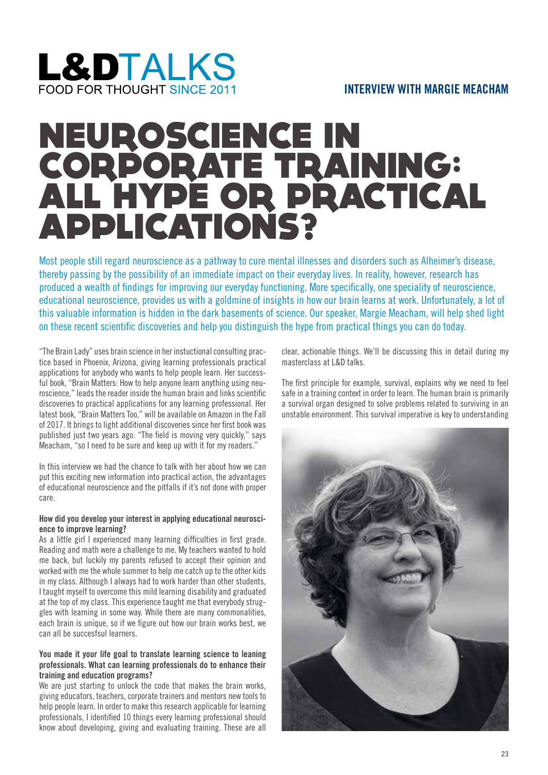# **L&DTALKS** FOOD FOR THOUGHT SINCE 2011

## **INTERVIEW WITH MARGIE MEACHAM**

# NEUROSCIENCE IN CORPORATE TRAINING: ALL HYPE OR PRACTICAL APPLICATIONS?

Most people still regard neuroscience as a pathway to cure mental illnesses and disorders such as Alheimer's disease, thereby passing by the possibility of an immediate impact on their everyday lives. In reality, however, research has produced a wealth of findings for improving our everyday functioning. More specifically, one speciality of neuroscience, educational neuroscience, provides us with a goldmine of insights in how our brain learns at work. Unfortunately, a lot of this valuable information is hidden in the dark basements of science. Our speaker, Margie Meacham, will help shed light on these recent scientific discoveries and help you distinguish the hype from practical things you can do today.

"The Brain Lady" uses brain science in her instuctional consulting practice based in Phoenix, Arizona, giving learning professionals practical applications for anybody who wants to help people learn. Her successful book, "Brain Matters: How to help anyone learn anything using neuroscience,"leads the reader inside the human brain and links scientific discoveries to practical applications for any learning professional. Her latest book, "Brain Matters Too," will be available on Amazon in the Fall of 2017. It brings to light additional discoveries since her first book was published just two years ago. "The field is moving very quickly," says Meacham, "so I need to be sure and keep up with it for my readers."

In this interview we had the chance to talk with her about how we can put this exciting new information into practical action, the advantages of educational neuroscience and the pitfalls if it's not done with proper care.

#### **How did you develop your interest in applying educational neuroscience to improve learning?**

As a little girl I experienced many learning difficulties in first grade. Reading and math were a challenge to me. My teachers wanted to hold me back, but luckily my parents refused to accept their opinion and worked with me the whole summer to help me catch up to the other kids in my class. Although I always had to work harder than other students, I taught myself to overcome this mild learning disability and graduated at the top of my class. This experience taught me that everybody struggles with learning in some way. While there are many commonalities, each brain is unique, so if we figure out how our brain works best, we can all be succesfsul learners.

#### **You made it your life goal to translate learning science to leaning professionals. What can learning professionals do to enhance their training and education programs?**

We are just starting to unlock the code that makes the brain works, giving educators, teachers, corporate trainers and mentors new tools to help people learn. In order to make this research applicable for learning professionals, I identified 10 things every learning professional should know about developing, giving and evaluating training. These are all clear, actionable things. We'll be discussing this in detail during my masterclass at L&D talks.

The first principle for example, survival, explains why we need to feel safe in a training context in order to learn. The human brain is primarily a survival organ designed to solve problems related to surviving in an unstable environment. This survival imperative is key to understanding